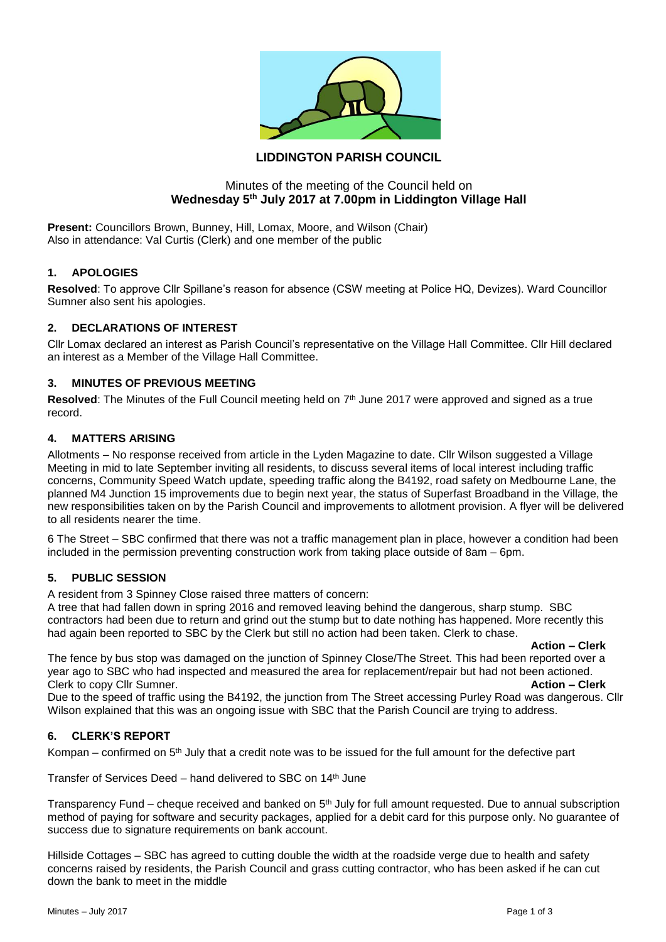

# **LIDDINGTON PARISH COUNCIL**

## Minutes of the meeting of the Council held on **Wednesday 5 th July 2017 at 7.00pm in Liddington Village Hall**

**Present:** Councillors Brown, Bunney, Hill, Lomax, Moore, and Wilson (Chair) Also in attendance: Val Curtis (Clerk) and one member of the public

### **1. APOLOGIES**

**Resolved**: To approve Cllr Spillane's reason for absence (CSW meeting at Police HQ, Devizes). Ward Councillor Sumner also sent his apologies.

### **2. DECLARATIONS OF INTEREST**

Cllr Lomax declared an interest as Parish Council's representative on the Village Hall Committee. Cllr Hill declared an interest as a Member of the Village Hall Committee.

## **3. MINUTES OF PREVIOUS MEETING**

Resolved: The Minutes of the Full Council meeting held on 7<sup>th</sup> June 2017 were approved and signed as a true record.

### **4. MATTERS ARISING**

Allotments – No response received from article in the Lyden Magazine to date. Cllr Wilson suggested a Village Meeting in mid to late September inviting all residents, to discuss several items of local interest including traffic concerns, Community Speed Watch update, speeding traffic along the B4192, road safety on Medbourne Lane, the planned M4 Junction 15 improvements due to begin next year, the status of Superfast Broadband in the Village, the new responsibilities taken on by the Parish Council and improvements to allotment provision. A flyer will be delivered to all residents nearer the time.

6 The Street – SBC confirmed that there was not a traffic management plan in place, however a condition had been included in the permission preventing construction work from taking place outside of 8am – 6pm.

### **5. PUBLIC SESSION**

A resident from 3 Spinney Close raised three matters of concern:

A tree that had fallen down in spring 2016 and removed leaving behind the dangerous, sharp stump. SBC contractors had been due to return and grind out the stump but to date nothing has happened. More recently this had again been reported to SBC by the Clerk but still no action had been taken. Clerk to chase.

**Action – Clerk**

The fence by bus stop was damaged on the junction of Spinney Close/The Street. This had been reported over a year ago to SBC who had inspected and measured the area for replacement/repair but had not been actioned. Clerk to copy Cllr Sumner. **Action – Clerk**

Due to the speed of traffic using the B4192, the junction from The Street accessing Purley Road was dangerous. Cllr Wilson explained that this was an ongoing issue with SBC that the Parish Council are trying to address.

### **6. CLERK'S REPORT**

Kompan – confirmed on 5th July that a credit note was to be issued for the full amount for the defective part

Transfer of Services Deed – hand delivered to SBC on 14th June

Transparency Fund – cheque received and banked on 5th July for full amount requested. Due to annual subscription method of paying for software and security packages, applied for a debit card for this purpose only. No guarantee of success due to signature requirements on bank account.

Hillside Cottages – SBC has agreed to cutting double the width at the roadside verge due to health and safety concerns raised by residents, the Parish Council and grass cutting contractor, who has been asked if he can cut down the bank to meet in the middle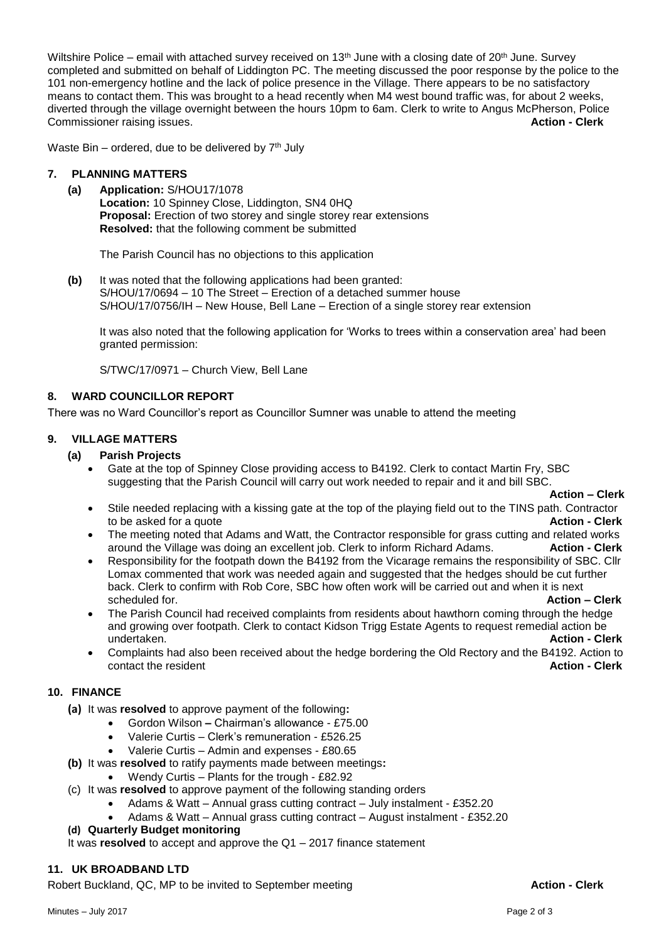Wiltshire Police – email with attached survey received on 13<sup>th</sup> June with a closing date of 20<sup>th</sup> June. Survey completed and submitted on behalf of Liddington PC. The meeting discussed the poor response by the police to the 101 non-emergency hotline and the lack of police presence in the Village. There appears to be no satisfactory means to contact them. This was brought to a head recently when M4 west bound traffic was, for about 2 weeks, diverted through the village overnight between the hours 10pm to 6am. Clerk to write to Angus McPherson, Police Commissioner raising issues. **Action - Clerk**

Waste Bin – ordered, due to be delivered by  $7<sup>th</sup>$  July

### **7. PLANNING MATTERS**

**(a) Application:** S/HOU17/1078 **Location:** 10 Spinney Close, Liddington, SN4 0HQ **Proposal:** Erection of two storey and single storey rear extensions **Resolved:** that the following comment be submitted

The Parish Council has no objections to this application

**(b)** It was noted that the following applications had been granted: S/HOU/17/0694 – 10 The Street – Erection of a detached summer house S/HOU/17/0756/IH – New House, Bell Lane – Erection of a single storey rear extension

It was also noted that the following application for 'Works to trees within a conservation area' had been granted permission:

S/TWC/17/0971 – Church View, Bell Lane

## **8. WARD COUNCILLOR REPORT**

There was no Ward Councillor's report as Councillor Sumner was unable to attend the meeting

### **9. VILLAGE MATTERS**

#### **(a) Parish Projects**

• Gate at the top of Spinney Close providing access to B4192. Clerk to contact Martin Fry, SBC suggesting that the Parish Council will carry out work needed to repair and it and bill SBC.

**Action – Clerk** 

- Stile needed replacing with a kissing gate at the top of the playing field out to the TINS path. Contractor to be asked for a quote **Action - Clerk**
- The meeting noted that Adams and Watt, the Contractor responsible for grass cutting and related works around the Village was doing an excellent job. Clerk to inform Richard Adams. **Action - Clerk**
- Responsibility for the footpath down the B4192 from the Vicarage remains the responsibility of SBC. Cllr Lomax commented that work was needed again and suggested that the hedges should be cut further back. Clerk to confirm with Rob Core, SBC how often work will be carried out and when it is next scheduled for. **Action – Clerk**
- The Parish Council had received complaints from residents about hawthorn coming through the hedge and growing over footpath. Clerk to contact Kidson Trigg Estate Agents to request remedial action be undertaken. **Action - Clerk**
- Complaints had also been received about the hedge bordering the Old Rectory and the B4192. Action to **contact the resident <b>Action** - **Clerk**

### **10. FINANCE**

- **(a)** It was **resolved** to approve payment of the following**:**
	- Gordon Wilson **–** Chairman's allowance £75.00
	- Valerie Curtis Clerk's remuneration £526.25
	- Valerie Curtis Admin and expenses £80.65
- **(b)** It was **resolved** to ratify payments made between meetings**:**
	- Wendy Curtis Plants for the trough £82.92
- (c) It was **resolved** to approve payment of the following standing orders
	- Adams & Watt Annual grass cutting contract July instalment £352.20
		- Adams & Watt Annual grass cutting contract August instalment £352.20
- **(d) Quarterly Budget monitoring**

It was **resolved** to accept and approve the Q1 – 2017 finance statement

### **11. UK BROADBAND LTD**

Robert Buckland, QC, MP to be invited to September meeting **Action - Clerk Action - Clerk**